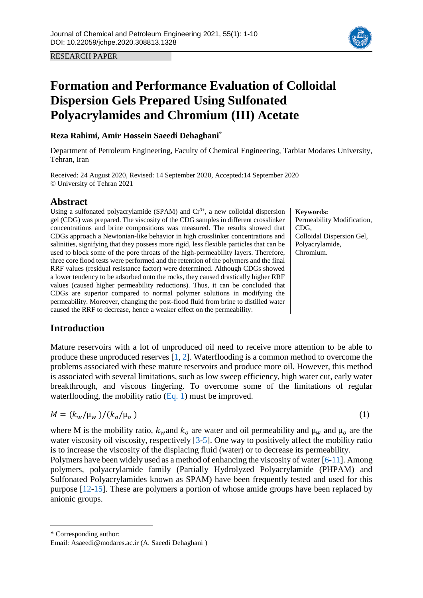RESEARCH PAPER

# **Formation and Performance Evaluation of Colloidal Dispersion Gels Prepared Using Sulfonated Polyacrylamides and Chromium (III) Acetate**

# **Reza Rahimi, Amir Hossein Saeedi Dehaghani\***

Department of Petroleum Engineering, Faculty of Chemical Engineering, Tarbiat Modares University, Tehran, Iran

Received: 24 August 2020, Revised: 14 September 2020, Accepted:14 September 2020 © University of Tehran 2021

# **Abstract**

Using a sulfonated polyacrylamide (SPAM) and  $Cr^{3+}$ , a new colloidal dispersion gel (CDG) was prepared. The viscosity of the CDG samples in different crosslinker concentrations and brine compositions was measured. The results showed that CDGs approach a Newtonian-like behavior in high crosslinker concentrations and salinities, signifying that they possess more rigid, less flexible particles that can be used to block some of the pore throats of the high-permeability layers. Therefore, three core flood tests were performed and the retention of the polymers and the final RRF values (residual resistance factor) were determined. Although CDGs showed a lower tendency to be adsorbed onto the rocks, they caused drastically higher RRF values (caused higher permeability reductions). Thus, it can be concluded that CDGs are superior compared to normal polymer solutions in modifying the permeability. Moreover, changing the post-flood fluid from brine to distilled water caused the RRF to decrease, hence a weaker effect on the permeability.

# **Introduction**

Mature reservoirs with a lot of unproduced oil need to receive more attention to be able to produce these unproduced reserves [\[1,](#page-8-0) [2\]](#page-8-1). Waterflooding is a common method to overcome the problems associated with these mature reservoirs and produce more oil. However, this method is associated with several limitations, such as low sweep efficiency, high water cut, early water breakthrough, and viscous fingering. To overcome some of the limitations of regular waterflooding, the mobility ratio [\(Eq.](#page-0-0) 1) must be improved.

<span id="page-0-0"></span>
$$
M = (k_w / \mu_w) / (k_o / \mu_o) \tag{1}
$$

where M is the mobility ratio,  $k_w$  and  $k_o$  are water and oil permeability and  $\mu_w$  and  $\mu_o$  are the water viscosity oil viscosity, respectively [\[3-](#page-8-2)[5\]](#page-8-3). One way to positively affect the mobility ratio is to increase the viscosity of the displacing fluid (water) or to decrease its permeability.

Polymers have been widely used as a method of enhancing the viscosity of water [\[6](#page-8-4)[-11\]](#page-8-5). Among polymers, polyacrylamide family (Partially Hydrolyzed Polyacrylamide (PHPAM) and Sulfonated Polyacrylamides known as SPAM) have been frequently tested and used for this purpose [\[12-](#page-8-6)[15\]](#page-8-7). These are polymers a portion of whose amide groups have been replaced by anionic groups.

\* Corresponding author:

 $\overline{a}$ 





Email: Asaeedi@modares.ac.ir (A. Saeedi Dehaghani )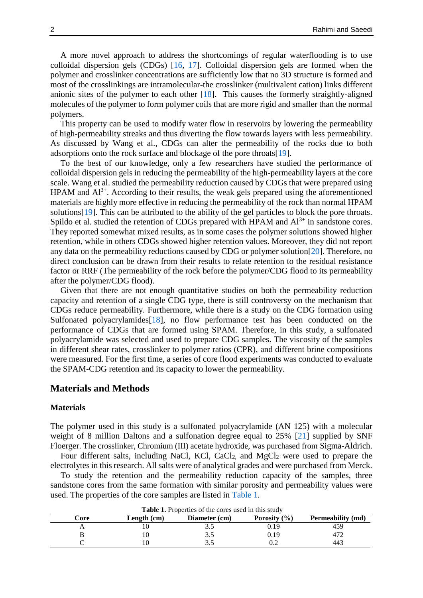A more novel approach to address the shortcomings of regular waterflooding is to use colloidal dispersion gels (CDGs) [\[16,](#page-8-8) [17\]](#page-9-0). Colloidal dispersion gels are formed when the polymer and crosslinker concentrations are sufficiently low that no 3D structure is formed and most of the crosslinkings are intramolecular-the crosslinker (multivalent cation) links different anionic sites of the polymer to each other [\[18\]](#page-9-1). This causes the formerly straightly-aligned molecules of the polymer to form polymer coils that are more rigid and smaller than the normal polymers.

This property can be used to modify water flow in reservoirs by lowering the permeability of high-permeability streaks and thus diverting the flow towards layers with less permeability. As discussed by Wang et al., CDGs can alter the permeability of the rocks due to both adsorptions onto the rock surface and blockage of the pore throats[\[19\]](#page-9-2).

To the best of our knowledge, only a few researchers have studied the performance of colloidal dispersion gels in reducing the permeability of the high-permeability layers at the core scale. Wang et al. studied the permeability reduction caused by CDGs that were prepared using HPAM and  $Al^{3+}$ . According to their results, the weak gels prepared using the aforementioned materials are highly more effective in reducing the permeability of the rock than normal HPAM solutions[\[19\]](#page-9-2). This can be attributed to the ability of the gel particles to block the pore throats. Spildo et al. studied the retention of CDGs prepared with HPAM and  $Al^{3+}$  in sandstone cores. They reported somewhat mixed results, as in some cases the polymer solutions showed higher retention, while in others CDGs showed higher retention values. Moreover, they did not report any data on the permeability reductions caused by CDG or polymer solution[\[20\]](#page-9-3). Therefore, no direct conclusion can be drawn from their results to relate retention to the residual resistance factor or RRF (The permeability of the rock before the polymer/CDG flood to its permeability after the polymer/CDG flood).

Given that there are not enough quantitative studies on both the permeability reduction capacity and retention of a single CDG type, there is still controversy on the mechanism that CDGs reduce permeability. Furthermore, while there is a study on the CDG formation using Sulfonated polyacrylamides<sup>[\[18\]](#page-9-1)</sup>, no flow performance test has been conducted on the performance of CDGs that are formed using SPAM. Therefore, in this study, a sulfonated polyacrylamide was selected and used to prepare CDG samples. The viscosity of the samples in different shear rates, crosslinker to polymer ratios (CPR), and different brine compositions were measured. For the first time, a series of core flood experiments was conducted to evaluate the SPAM-CDG retention and its capacity to lower the permeability.

### **Materials and Methods**

#### **Materials**

The polymer used in this study is a sulfonated polyacrylamide (AN 125) with a molecular weight of 8 million Daltons and a sulfonation degree equal to 25% [\[21\]](#page-9-4) supplied by SNF Floerger. The crosslinker, Chromium (III) acetate hydroxide, was purchased from Sigma-Aldrich.

Four different salts, including NaCl, KCl, CaCl<sub>2</sub> and MgCl<sub>2</sub> were used to prepare the electrolytes in this research. All salts were of analytical grades and were purchased from Merck.

To study the retention and the permeability reduction capacity of the samples, three sandstone cores from the same formation with similar porosity and permeability values were used. The properties of the core samples are listed in [Table 1.](#page-1-0)

<span id="page-1-0"></span>

| Core | Length (cm) | Diameter (cm) | Porosity $(\% )$ | Permeability (md) |
|------|-------------|---------------|------------------|-------------------|
|      |             |               | .19              | 459               |
|      | 10          | ر. ر          | J.19             |                   |
|      |             | ن ر           | ∪.∠              | 443               |

**Table 1.** Properties of the cores used in this study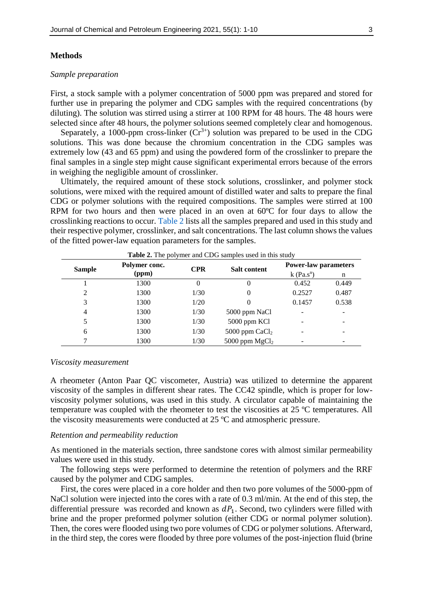#### **Methods**

#### *Sample preparation*

First, a stock sample with a polymer concentration of 5000 ppm was prepared and stored for further use in preparing the polymer and CDG samples with the required concentrations (by diluting). The solution was stirred using a stirrer at 100 RPM for 48 hours. The 48 hours were selected since after 48 hours, the polymer solutions seemed completely clear and homogenous.

Separately, a 1000-ppm cross-linker  $(Cr^{3+})$  solution was prepared to be used in the CDG solutions. This was done because the chromium concentration in the CDG samples was extremely low (43 and 65 ppm) and using the powdered form of the crosslinker to prepare the final samples in a single step might cause significant experimental errors because of the errors in weighing the negligible amount of crosslinker.

Ultimately, the required amount of these stock solutions, crosslinker, and polymer stock solutions, were mixed with the required amount of distilled water and salts to prepare the final CDG or polymer solutions with the required compositions. The samples were stirred at 100 RPM for two hours and then were placed in an oven at 60ºC for four days to allow the crosslinking reactions to occur. [Table 2](#page-2-0) lists all the samples prepared and used in this study and their respective polymer, crosslinker, and salt concentrations. The last column shows the values of the fitted power-law equation parameters for the samples.

<span id="page-2-0"></span>

| <b>Sample</b>  | Polymer conc.<br>(ppm) | <b>CPR</b> | <b>Salt content</b> | <b>Power-law parameters</b> |       |
|----------------|------------------------|------------|---------------------|-----------------------------|-------|
|                |                        |            |                     | $k$ (Pa.s <sup>n</sup> )    | n     |
|                | 1300                   | 0          |                     | 0.452                       | 0.449 |
| 2              | 1300                   | 1/30       |                     | 0.2527                      | 0.487 |
| 3              | 1300                   | 1/20       |                     | 0.1457                      | 0.538 |
| $\overline{4}$ | 1300                   | 1/30       | 5000 ppm NaCl       |                             | ۰     |
| 5              | 1300                   | 1/30       | 5000 ppm KCl        |                             |       |
| 6              | 1300                   | 1/30       | 5000 ppm $CaCl2$    |                             |       |
|                | 1300                   | 1/30       | 5000 ppm $MgCl2$    |                             |       |

#### *Viscosity measurement*

A rheometer (Anton Paar QC viscometer, Austria) was utilized to determine the apparent viscosity of the samples in different shear rates. The CC42 spindle, which is proper for lowviscosity polymer solutions, was used in this study. A circulator capable of maintaining the temperature was coupled with the rheometer to test the viscosities at 25 ºC temperatures. All the viscosity measurements were conducted at 25 ºC and atmospheric pressure.

#### *Retention and permeability reduction*

As mentioned in the materials section, three sandstone cores with almost similar permeability values were used in this study.

The following steps were performed to determine the retention of polymers and the RRF caused by the polymer and CDG samples.

First, the cores were placed in a core holder and then two pore volumes of the 5000-ppm of NaCl solution were injected into the cores with a rate of 0.3 ml/min. At the end of this step, the differential pressure was recorded and known as  $dP_1$ . Second, two cylinders were filled with brine and the proper preformed polymer solution (either CDG or normal polymer solution). Then, the cores were flooded using two pore volumes of CDG or polymer solutions. Afterward, in the third step, the cores were flooded by three pore volumes of the post-injection fluid (brine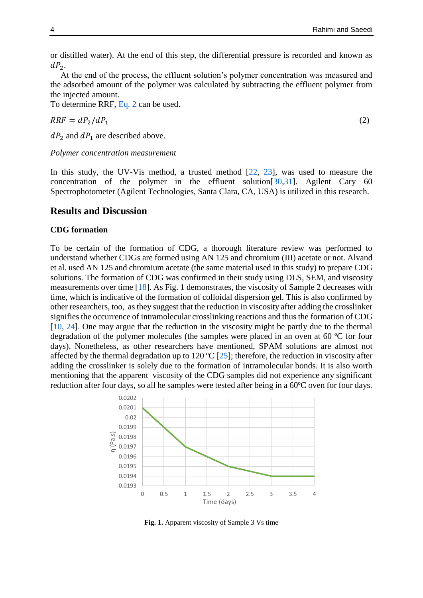or distilled water). At the end of this step, the differential pressure is recorded and known as  $dP_2$ .

At the end of the process, the effluent solution's polymer concentration was measured and the adsorbed amount of the polymer was calculated by subtracting the effluent polymer from the injected amount.

To determine RRF, [Eq.](#page-3-0) 2 can be used.

<span id="page-3-0"></span> $RRF = dP_2/dP_1$  (2)

 $dP_2$  and  $dP_1$  are described above.

*Polymer concentration measurement*

In this study, the UV-Vis method, a trusted method [\[22,](#page-9-5) [23\]](#page-9-6), was used to measure the concentration of the polymer in the effluent solution[\[30](#page-9-7)[,31\]](#page-9-8). Agilent Cary 60 Spectrophotometer (Agilent Technologies, Santa Clara, CA, USA) is utilized in this research.

### **Results and Discussion**

#### **CDG formation**

To be certain of the formation of CDG, a thorough literature review was performed to understand whether CDGs are formed using AN 125 and chromium (III) acetate or not. Alvand et al. used AN 125 and chromium acetate (the same material used in this study) to prepare CDG solutions. The formation of CDG was confirmed in their study using DLS, SEM, and viscosity measurements over time [\[18\]](#page-9-1). As Fig. 1 demonstrates, the viscosity of Sample 2 decreases with time, which is indicative of the formation of colloidal dispersion gel. This is also confirmed by other researchers, too, as they suggest that the reduction in viscosity after adding the crosslinker signifies the occurrence of intramolecular crosslinking reactions and thus the formation of CDG [\[10,](#page-8-9) [24\]](#page-9-9). One may argue that the reduction in the viscosity might be partly due to the thermal degradation of the polymer molecules (the samples were placed in an oven at 60 ºC for four days). Nonetheless, as other researchers have mentioned, SPAM solutions are almost not affected by the thermal degradation up to 120 ºC [\[25\]](#page-9-10); therefore, the reduction in viscosity after adding the crosslinker is solely due to the formation of intramolecular bonds. It is also worth mentioning that the apparent viscosity of the CDG samples did not experience any significant reduction after four days, so all he samples were tested after being in a 60ºC oven for four days.



**Fig. 1.** Apparent viscosity of Sample 3 Vs time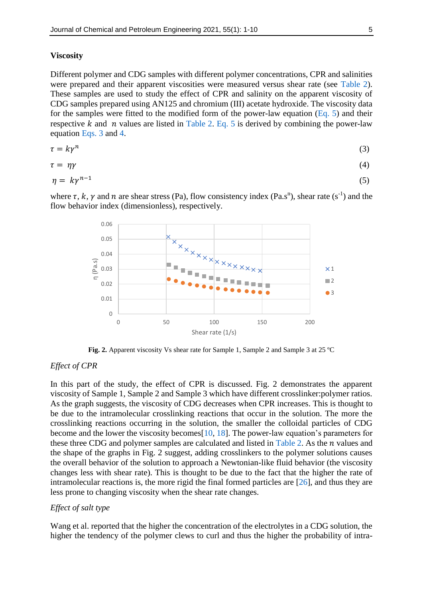#### **Viscosity**

Different polymer and CDG samples with different polymer concentrations, CPR and salinities were prepared and their apparent viscosities were measured versus shear rate (see [Table 2\)](#page-2-0). These samples are used to study the effect of CPR and salinity on the apparent viscosity of CDG samples prepared using AN125 and chromium (III) acetate hydroxide. The viscosity data for the samples were fitted to the modified form of the power-law equation [\(Eq.](#page-4-0) 5) and their respective k and *n* values are listed in [Table 2.](#page-2-0) [Eq.](#page-4-0) 5 is derived by combining the power-law equation [Eqs.](#page-4-0) 3 and [4.](#page-4-0)

<span id="page-4-0"></span>
$$
\tau = k\gamma^n \tag{3}
$$

$$
\tau = \eta \gamma \tag{4}
$$

$$
\eta = k\gamma^{n-1} \tag{5}
$$

where  $\tau$ , k,  $\gamma$  and  $n$  are shear stress (Pa), flow consistency index (Pa.s<sup>n</sup>), shear rate (s<sup>-1</sup>) and the flow behavior index (dimensionless), respectively.



**Fig. 2.** Apparent viscosity Vs shear rate for Sample 1, Sample 2 and Sample 3 at 25 ºC

#### *Effect of CPR*

In this part of the study, the effect of CPR is discussed. Fig. 2 demonstrates the apparent viscosity of Sample 1, Sample 2 and Sample 3 which have different crosslinker:polymer ratios. As the graph suggests, the viscosity of CDG decreases when CPR increases. This is thought to be due to the intramolecular crosslinking reactions that occur in the solution. The more the crosslinking reactions occurring in the solution, the smaller the colloidal particles of CDG become and the lower the viscosity becomes[\[10,](#page-8-9) [18\]](#page-9-1). The power-law equation's parameters for these three CDG and polymer samples are calculated and listed in [Table 2.](#page-2-0) As the  $n$  values and the shape of the graphs in Fig. 2 suggest, adding crosslinkers to the polymer solutions causes the overall behavior of the solution to approach a Newtonian-like fluid behavior (the viscosity changes less with shear rate). This is thought to be due to the fact that the higher the rate of intramolecular reactions is, the more rigid the final formed particles are [\[26\]](#page-9-11), and thus they are less prone to changing viscosity when the shear rate changes.

#### *Effect of salt type*

Wang et al. reported that the higher the concentration of the electrolytes in a CDG solution, the higher the tendency of the polymer clews to curl and thus the higher the probability of intra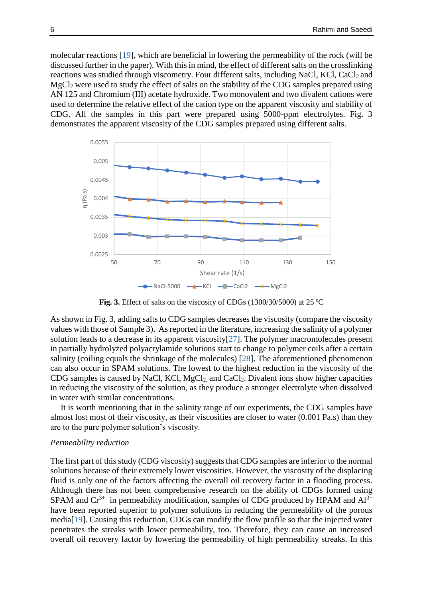molecular reactions [\[19\]](#page-9-2), which are beneficial in lowering the permeability of the rock (will be discussed further in the paper). With this in mind, the effect of different salts on the crosslinking reactions was studied through viscometry. Four different salts, including NaCl, KCl, CaCl<sub>2</sub> and MgCl<sup>2</sup> were used to study the effect of salts on the stability of the CDG samples prepared using AN 125 and Chromium (III) acetate hydroxide. Two monovalent and two divalent cations were used to determine the relative effect of the cation type on the apparent viscosity and stability of CDG. All the samples in this part were prepared using 5000-ppm electrolytes. Fig. 3 demonstrates the apparent viscosity of the CDG samples prepared using different salts.



**Fig. 3.** Effect of salts on the viscosity of CDGs (1300/30/5000) at 25 ºC

As shown in Fig. 3, adding salts to CDG samples decreases the viscosity (compare the viscosity values with those of Sample 3). As reported in the literature, increasing the salinity of a polymer solution leads to a decrease in its apparent viscosity[\[27\]](#page-9-7). The polymer macromolecules present in partially hydrolyzed polyacrylamide solutions start to change to polymer coils after a certain salinity (coiling equals the shrinkage of the molecules) [\[28\]](#page-9-8). The aforementioned phenomenon can also occur in SPAM solutions. The lowest to the highest reduction in the viscosity of the CDG samples is caused by NaCl, KCl, MgCl2, and CaCl2. Divalent ions show higher capacities in reducing the viscosity of the solution, as they produce a stronger electrolyte when dissolved in water with similar concentrations.

It is worth mentioning that in the salinity range of our experiments, the CDG samples have almost lost most of their viscosity, as their viscosities are closer to water (0.001 Pa.s) than they are to the pure polymer solution's viscosity.

#### *Permeability reduction*

The first part of this study (CDG viscosity) suggests that CDG samples are inferior to the normal solutions because of their extremely lower viscosities. However, the viscosity of the displacing fluid is only one of the factors affecting the overall oil recovery factor in a flooding process. Although there has not been comprehensive research on the ability of CDGs formed using SPAM and  $Cr^{3+}$  in permeability modification, samples of CDG produced by HPAM and  $Al^{3+}$ have been reported superior to polymer solutions in reducing the permeability of the porous media[\[19\]](#page-9-2). Causing this reduction, CDGs can modify the flow profile so that the injected water penetrates the streaks with lower permeability, too. Therefore, they can cause an increased overall oil recovery factor by lowering the permeability of high permeability streaks. In this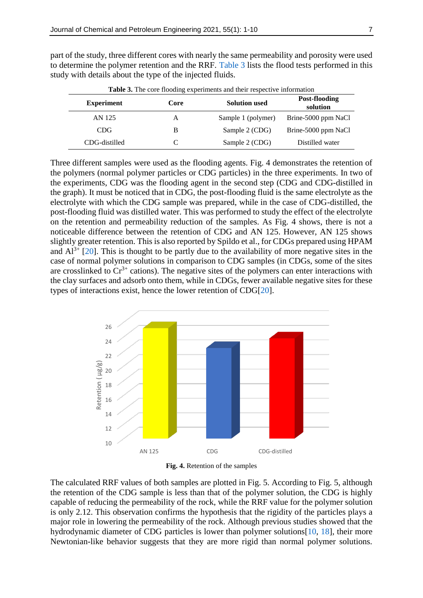<span id="page-6-0"></span>

| <b>Table 3.</b> The core flooding experiments and their respective information |      |                      |                           |  |  |  |
|--------------------------------------------------------------------------------|------|----------------------|---------------------------|--|--|--|
| <b>Experiment</b>                                                              | Core | <b>Solution used</b> | Post-flooding<br>solution |  |  |  |
| AN 125                                                                         | A    | Sample 1 (polymer)   | Brine-5000 ppm NaCl       |  |  |  |
| CDG.                                                                           | B    | Sample 2 (CDG)       | Brine-5000 ppm NaCl       |  |  |  |
| CDG-distilled                                                                  | C    | Sample 2 (CDG)       | Distilled water           |  |  |  |

part of the study, three different cores with nearly the same permeability and porosity were used to determine the polymer retention and the RRF. [Table 3](#page-6-0) lists the flood tests performed in this study with details about the type of the injected fluids.

**Table 3.** The core flooding experiments and their respective information

Three different samples were used as the flooding agents. Fig. 4 demonstrates the retention of the polymers (normal polymer particles or CDG particles) in the three experiments. In two of the experiments, CDG was the flooding agent in the second step (CDG and CDG-distilled in the graph). It must be noticed that in CDG, the post-flooding fluid is the same electrolyte as the electrolyte with which the CDG sample was prepared, while in the case of CDG-distilled, the post-flooding fluid was distilled water. This was performed to study the effect of the electrolyte on the retention and permeability reduction of the samples. As Fig. 4 shows, there is not a noticeable difference between the retention of CDG and AN 125. However, AN 125 shows slightly greater retention. This is also reported by Spildo et al., for CDGs prepared using HPAM and  $Al^{3+}$  [\[20\]](#page-9-3). This is thought to be partly due to the availability of more negative sites in the case of normal polymer solutions in comparison to CDG samples (in CDGs, some of the sites are crosslinked to  $Cr^{3+}$  cations). The negative sites of the polymers can enter interactions with the clay surfaces and adsorb onto them, while in CDGs, fewer available negative sites for these types of interactions exist, hence the lower retention of CDG[\[20\]](#page-9-3).





The calculated RRF values of both samples are plotted in Fig. 5. According to Fig. 5, although the retention of the CDG sample is less than that of the polymer solution, the CDG is highly capable of reducing the permeability of the rock, while the RRF value for the polymer solution is only 2.12. This observation confirms the hypothesis that the rigidity of the particles plays a major role in lowering the permeability of the rock. Although previous studies showed that the hydrodynamic diameter of CDG particles is lower than polymer solutions[\[10,](#page-8-9) [18\]](#page-9-1), their more Newtonian-like behavior suggests that they are more rigid than normal polymer solutions.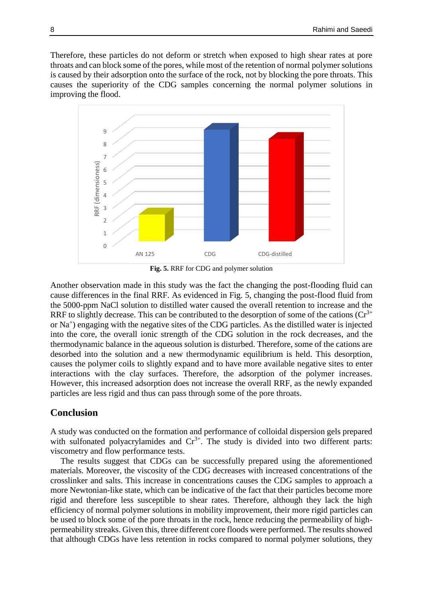Therefore, these particles do not deform or stretch when exposed to high shear rates at pore throats and can block some of the pores, while most of the retention of normal polymer solutions is caused by their adsorption onto the surface of the rock, not by blocking the pore throats. This causes the superiority of the CDG samples concerning the normal polymer solutions in improving the flood.



**Fig. 5.** RRF for CDG and polymer solution

Another observation made in this study was the fact the changing the post-flooding fluid can cause differences in the final RRF. As evidenced in Fig. 5, changing the post-flood fluid from the 5000-ppm NaCl solution to distilled water caused the overall retention to increase and the RRF to slightly decrease. This can be contributed to the desorption of some of the cations  $(Cr^{3+})$ or Na<sup>+</sup>) engaging with the negative sites of the CDG particles. As the distilled water is injected into the core, the overall ionic strength of the CDG solution in the rock decreases, and the thermodynamic balance in the aqueous solution is disturbed. Therefore, some of the cations are desorbed into the solution and a new thermodynamic equilibrium is held. This desorption, causes the polymer coils to slightly expand and to have more available negative sites to enter interactions with the clay surfaces. Therefore, the adsorption of the polymer increases. However, this increased adsorption does not increase the overall RRF, as the newly expanded particles are less rigid and thus can pass through some of the pore throats.

## **Conclusion**

A study was conducted on the formation and performance of colloidal dispersion gels prepared with sulfonated polyacrylamides and  $Cr^{3+}$ . The study is divided into two different parts: viscometry and flow performance tests.

The results suggest that CDGs can be successfully prepared using the aforementioned materials. Moreover, the viscosity of the CDG decreases with increased concentrations of the crosslinker and salts. This increase in concentrations causes the CDG samples to approach a more Newtonian-like state, which can be indicative of the fact that their particles become more rigid and therefore less susceptible to shear rates. Therefore, although they lack the high efficiency of normal polymer solutions in mobility improvement, their more rigid particles can be used to block some of the pore throats in the rock, hence reducing the permeability of highpermeability streaks. Given this, three different core floods were performed. The results showed that although CDGs have less retention in rocks compared to normal polymer solutions, they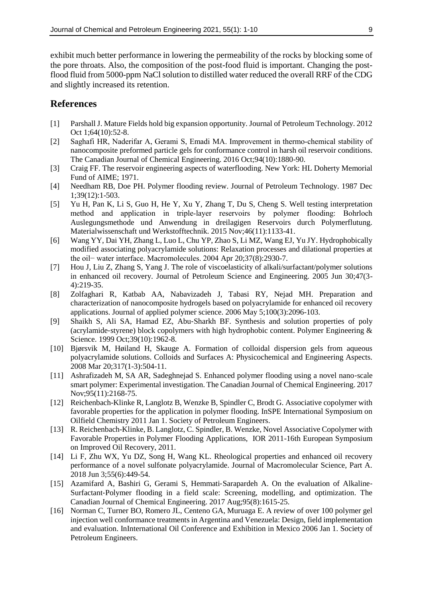exhibit much better performance in lowering the permeability of the rocks by blocking some of the pore throats. Also, the composition of the post-food fluid is important. Changing the postflood fluid from 5000-ppm NaCl solution to distilled water reduced the overall RRF of the CDG and slightly increased its retention.

# **References**

- <span id="page-8-0"></span>[1] Parshall J. Mature Fields hold big expansion opportunity. Journal of Petroleum Technology. 2012 Oct 1;64(10):52-8.
- <span id="page-8-1"></span>[2] Saghafi HR, Naderifar A, Gerami S, Emadi MA. Improvement in thermo‐chemical stability of nanocomposite preformed particle gels for conformance control in harsh oil reservoir conditions. The Canadian Journal of Chemical Engineering. 2016 Oct;94(10):1880-90.
- <span id="page-8-2"></span>[3] Craig FF. The reservoir engineering aspects of waterflooding. New York: HL Doherty Memorial Fund of AIME; 1971.
- [4] Needham RB, Doe PH. Polymer flooding review. Journal of Petroleum Technology. 1987 Dec 1;39(12):1-503.
- <span id="page-8-3"></span>[5] Yu H, Pan K, Li S, Guo H, He Y, Xu Y, Zhang T, Du S, Cheng S. Well testing interpretation method and application in triple‐layer reservoirs by polymer flooding: Bohrloch Auslegungsmethode und Anwendung in dreilagigen Reservoirs durch Polymerflutung. Materialwissenschaft und Werkstofftechnik. 2015 Nov;46(11):1133-41.
- <span id="page-8-4"></span>[6] Wang YY, Dai YH, Zhang L, Luo L, Chu YP, Zhao S, Li MZ, Wang EJ, Yu JY. Hydrophobically modified associating polyacrylamide solutions: Relaxation processes and dilational properties at the oil− water interface. Macromolecules. 2004 Apr 20;37(8):2930-7.
- [7] Hou J, Liu Z, Zhang S, Yang J. The role of viscoelasticity of alkali/surfactant/polymer solutions in enhanced oil recovery. Journal of Petroleum Science and Engineering. 2005 Jun 30;47(3- 4):219-35.
- [8] Zolfaghari R, Katbab AA, Nabavizadeh J, Tabasi RY, Nejad MH. Preparation and characterization of nanocomposite hydrogels based on polyacrylamide for enhanced oil recovery applications. Journal of applied polymer science. 2006 May 5;100(3):2096-103.
- [9] Shaikh S, Ali SA, Hamad EZ, Abu‐Sharkh BF. Synthesis and solution properties of poly (acrylamide-styrene) block copolymers with high hydrophobic content. Polymer Engineering  $\&$ Science. 1999 Oct;39(10):1962-8.
- <span id="page-8-9"></span>[10] Bjørsvik M, Høiland H, Skauge A. Formation of colloidal dispersion gels from aqueous polyacrylamide solutions. Colloids and Surfaces A: Physicochemical and Engineering Aspects. 2008 Mar 20;317(1-3):504-11.
- <span id="page-8-5"></span>[11] Ashrafizadeh M, SA AR, Sadeghnejad S. Enhanced polymer flooding using a novel nano‐scale smart polymer: Experimental investigation. The Canadian Journal of Chemical Engineering. 2017 Nov;95(11):2168-75.
- <span id="page-8-6"></span>[12] Reichenbach-Klinke R, Langlotz B, Wenzke B, Spindler C, Brodt G. Associative copolymer with favorable properties for the application in polymer flooding. InSPE International Symposium on Oilfield Chemistry 2011 Jan 1. Society of Petroleum Engineers.
- [13] R. Reichenbach-Klinke, B. Langlotz, C. Spindler, B. Wenzke, Novel Associative Copolymer with Favorable Properties in Polymer Flooding Applications, IOR 2011-16th European Symposium on Improved Oil Recovery, 2011.
- [14] Li F, Zhu WX, Yu DZ, Song H, Wang KL. Rheological properties and enhanced oil recovery performance of a novel sulfonate polyacrylamide. Journal of Macromolecular Science, Part A. 2018 Jun 3;55(6):449-54.
- <span id="page-8-7"></span>[15] Azamifard A, Bashiri G, Gerami S, Hemmati-Sarapardeh A. On the evaluation of Alkaline-Surfactant‐Polymer flooding in a field scale: Screening, modelling, and optimization. The Canadian Journal of Chemical Engineering. 2017 Aug;95(8):1615-25.
- <span id="page-8-8"></span>[16] Norman C, Turner BO, Romero JL, Centeno GA, Muruaga E. A review of over 100 polymer gel injection well conformance treatments in Argentina and Venezuela: Design, field implementation and evaluation. InInternational Oil Conference and Exhibition in Mexico 2006 Jan 1. Society of Petroleum Engineers.